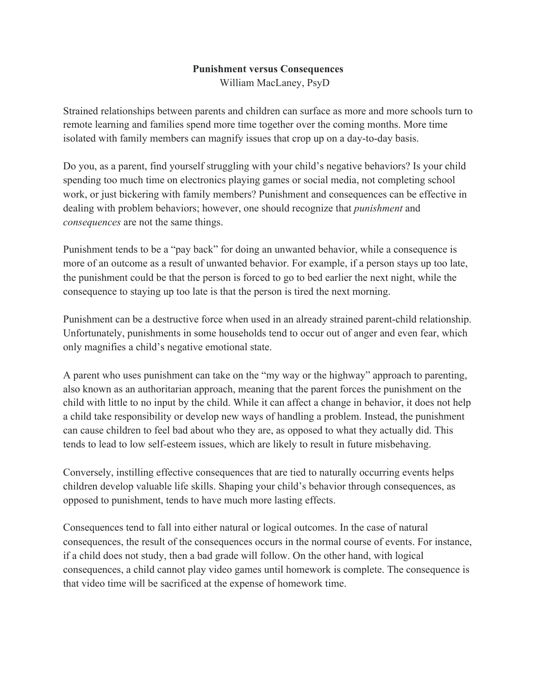## **Punishment versus Consequences**

William MacLaney, PsyD

Strained relationships between parents and children can surface as more and more schools turn to remote learning and families spend more time together over the coming months. More time isolated with family members can magnify issues that crop up on a day-to-day basis.

Do you, as a parent, find yourself struggling with your child's negative behaviors? Is your child spending too much time on electronics playing games or social media, not completing school work, or just bickering with family members? Punishment and consequences can be effective in dealing with problem behaviors; however, one should recognize that *punishment* and *consequences* are not the same things.

Punishment tends to be a "pay back" for doing an unwanted behavior, while a consequence is more of an outcome as a result of unwanted behavior. For example, if a person stays up too late, the punishment could be that the person is forced to go to bed earlier the next night, while the consequence to staying up too late is that the person is tired the next morning.

Punishment can be a destructive force when used in an already strained parent-child relationship. Unfortunately, punishments in some households tend to occur out of anger and even fear, which only magnifies a child's negative emotional state.

A parent who uses punishment can take on the "my way or the highway" approach to parenting, also known as an authoritarian approach, meaning that the parent forces the punishment on the child with little to no input by the child. While it can affect a change in behavior, it does not help a child take responsibility or develop new ways of handling a problem. Instead, the punishment can cause children to feel bad about who they are, as opposed to what they actually did. This tends to lead to low self-esteem issues, which are likely to result in future misbehaving.

Conversely, instilling effective consequences that are tied to naturally occurring events helps children develop valuable life skills. Shaping your child's behavior through consequences, as opposed to punishment, tends to have much more lasting effects.

Consequences tend to fall into either natural or logical outcomes. In the case of natural consequences, the result of the consequences occurs in the normal course of events. For instance, if a child does not study, then a bad grade will follow. On the other hand, with logical consequences, a child cannot play video games until homework is complete. The consequence is that video time will be sacrificed at the expense of homework time.